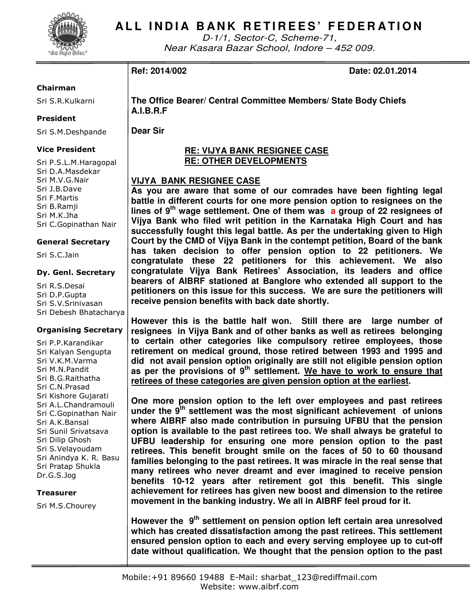

# **ALL INDIA BANK RETIREES' FEDERATION**

D-1/1, Sector-C, Scheme-71, Near Kasara Bazar School, Indore – 452 009.

**Ref: 2014/002 Date: 02.01.2014** 

#### Chairman

Sri S.R.Kulkarni

#### President

Sri S.M.Deshpande

#### Vice President

Sri P.S.L.M.Haragopal Sri D.A.Masdekar Sri M.V.G.Nair Sri J.B.Dave Sri F.Martis Sri B.Ramji Sri M.K.Jha Sri C.Gopinathan Nair

#### General Secretary

Sri S.C.Jain

#### Dy. Genl. Secretary

Sri R.S.Desai Sri D.P.Gupta Sri S.V.Srinivasan Sri Debesh Bhatacharya

#### Organising Secretary

Sri P.P.Karandikar Sri Kalyan Sengupta Sri V.K.M.Varma Sri M.N.Pandit Sri B.G.Raithatha Sri C.N.Prasad Sri Kishore Gujarati Sri A.L.Chandramouli Sri C.Gopinathan Nair Sri A.K.Bansal Sri Sunil Srivatsava Sri Dilip Ghosh Sri S.Velayoudam Sri Anindya K. R. Basu Sri Pratap Shukla Dr.G.S.Jog

#### **Treasurer**

Sri M.S.Chourey

**The Office Bearer/ Central Committee Members/ State Body Chiefs A.I.B.R.F** 

**Dear Sir** 

### **RE: VIJYA BANK RESIGNEE CASE RE: OTHER DEVELOPMENTS**

## **VIJYA BANK RESIGNEE CASE**

**As you are aware that some of our comrades have been fighting legal battle in different courts for one more pension option to resignees on the lines of 9th wage settlement. One of them was a group of 22 resignees of Vijya Bank who filed writ petition in the Karnataka High Court and has successfully fought this legal battle. As per the undertaking given to High Court by the CMD of Vijya Bank in the contempt petition, Board of the bank has taken decision to offer pension option to 22 petitioners. We congratulate these 22 petitioners for this achievement. We also congratulate Vijya Bank Retirees' Association, its leaders and office bearers of AIBRF stationed at Banglore who extended all support to the petitioners on this issue for this success. We are sure the petitioners will receive pension benefits with back date shortly.** 

**However this is the battle half won. Still there are large number of resignees in Vijya Bank and of other banks as well as retirees belonging to certain other categories like compulsory retiree employees, those retirement on medical ground, those retired between 1993 and 1995 and did not avail pension option originally are still not eligible pension option as per the provisions of 9th settlement. We have to work to ensure that retirees of these categories are given pension option at the earliest.** 

**One more pension option to the left over employees and past retirees under the 9th settlement was the most significant achievement of unions where AIBRF also made contribution in pursuing UFBU that the pension option is available to the past retirees too. We shall always be grateful to UFBU leadership for ensuring one more pension option to the past retirees. This benefit brought smile on the faces of 50 to 60 thousand families belonging to the past retirees. It was miracle in the real sense that many retirees who never dreamt and ever imagined to receive pension benefits 10-12 years after retirement got this benefit. This single achievement for retirees has given new boost and dimension to the retiree movement in the banking industry. We all in AIBRF feel proud for it.** 

**However the 9th settlement on pension option left certain area unresolved which has created dissatisfaction among the past retirees. This settlement ensured pension option to each and every serving employee up to cut-off date without qualification. We thought that the pension option to the past**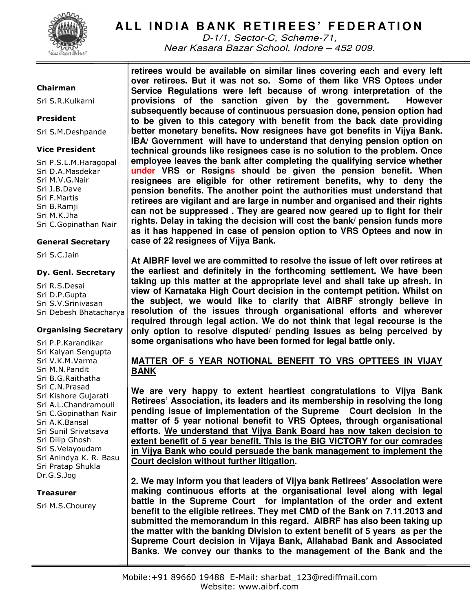

# **ALL INDIA BANK RETIREES' FEDERATION**

D-1/1, Sector-C, Scheme-71, Near Kasara Bazar School, Indore – 452 009.

#### Chairman

Sri S.R.Kulkarni

#### President

Sri S.M.Deshpande

#### Vice President

Sri P.S.L.M.Haragopal Sri D.A.Masdekar Sri M.V.G.Nair Sri J.B.Dave Sri F.Martis Sri B.Ramji Sri M.K.Jha Sri C.Gopinathan Nair

#### General Secretary

Sri S.C.Jain

#### Dy. Genl. Secretary

Sri R.S.Desai Sri D.P.Gupta Sri S.V.Srinivasan Sri Debesh Bhatacharya

#### Organising Secretary

Sri P.P.Karandikar Sri Kalyan Sengupta Sri V.K.M.Varma Sri M.N.Pandit Sri B.G.Raithatha Sri C.N.Prasad Sri Kishore Gujarati Sri A.L.Chandramouli Sri C.Gopinathan Nair Sri A.K.Bansal Sri Sunil Srivatsava Sri Dilip Ghosh Sri S.Velayoudam Sri Anindya K. R. Basu Sri Pratap Shukla Dr.G.S.Jog

#### **Treasurer**

Sri M.S.Chourey

**retirees would be available on similar lines covering each and every left over retirees. But it was not so. Some of them like VRS Optees under Service Regulations were left because of wrong interpretation of the provisions of the sanction given by the government. However subsequently because of continuous persuasion done, pension option had to be given to this category with benefit from the back date providing better monetary benefits. Now resignees have got benefits in Vijya Bank. IBA/ Government will have to understand that denying pension option on technical grounds like resignees case is no solution to the problem. Once employee leaves the bank after completing the qualifying service whether under VRS or Resigns should be given the pension benefit. When resignees are eligible for other retirement benefits, why to deny the pension benefits. The another point the authorities must understand that retirees are vigilant and are large in number and organised and their rights can not be suppressed . They are geared now geared up to fight for their rights. Delay in taking the decision will cost the bank/ pension funds more as it has happened in case of pension option to VRS Optees and now in case of 22 resignees of Vijya Bank.** 

**At AIBRF level we are committed to resolve the issue of left over retirees at the earliest and definitely in the forthcoming settlement. We have been taking up this matter at the appropriate level and shall take up afresh. in view of Karnataka High Court decision in the contempt petition. Whilst on the subject, we would like to clarify that AIBRF strongly believe in resolution of the issues through organisational efforts and wherever required through legal action. We do not think that legal recourse is the only option to resolve disputed/ pending issues as being perceived by some organisations who have been formed for legal battle only.** 

## **MATTER OF 5 YEAR NOTIONAL BENEFIT TO VRS OPTTEES IN VIJAY BANK**

**We are very happy to extent heartiest congratulations to Vijya Bank Retirees' Association, its leaders and its membership in resolving the long pending issue of implementation of the Supreme Court decision In the matter of 5 year notional benefit to VRS Optees, through organisational efforts. We understand that Vijya Bank Board has now taken decision to extent benefit of 5 year benefit. This is the BIG VICTORY for our comrades in Vijya Bank who could persuade the bank management to implement the Court decision without further litigation.** 

**2. We may inform you that leaders of Vijya bank Retirees' Association were making continuous efforts at the organisational level along with legal battle in the Supreme Court for implantation of the order and extent benefit to the eligible retirees. They met CMD of the Bank on 7.11.2013 and submitted the memorandum in this regard. AIBRF has also been taking up the matter with the banking Division to extent benefit of 5 years as per the Supreme Court decision in Vijaya Bank, Allahabad Bank and Associated Banks. We convey our thanks to the management of the Bank and the**